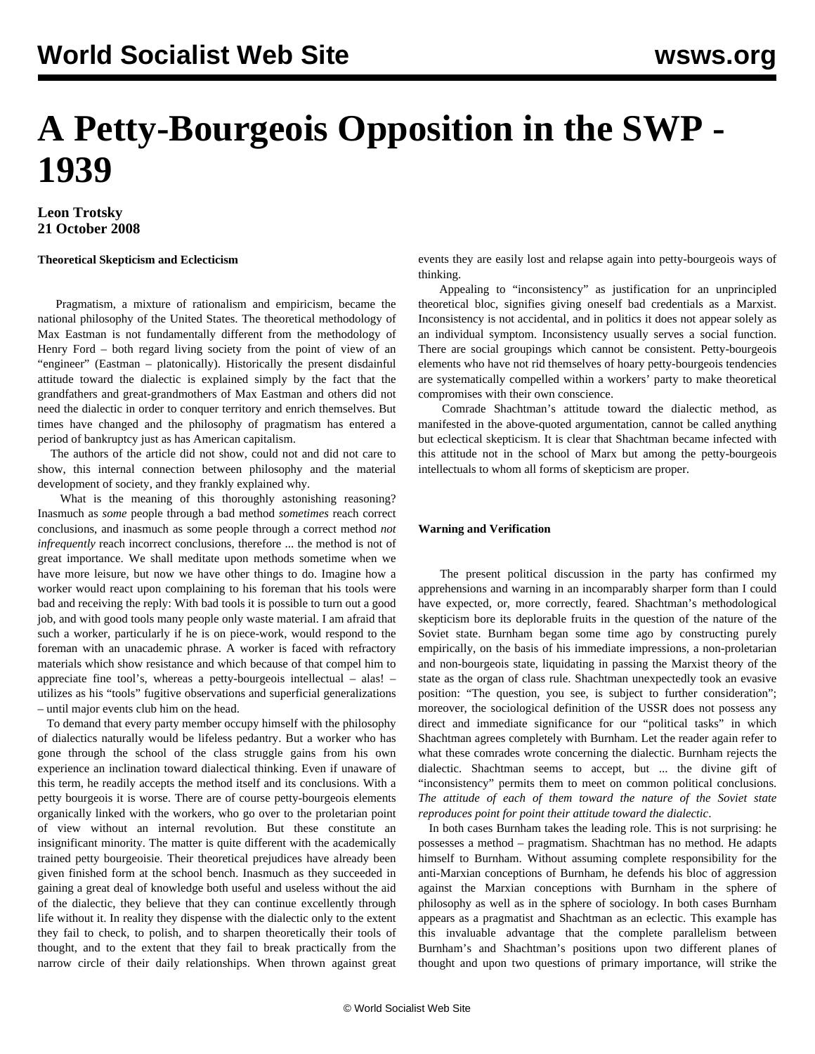# **A Petty-Bourgeois Opposition in the SWP - 1939**

# **Leon Trotsky 21 October 2008**

## **Theoretical Skepticism and Eclecticism**

 Pragmatism, a mixture of rationalism and empiricism, became the national philosophy of the United States. The theoretical methodology of Max Eastman is not fundamentally different from the methodology of Henry Ford – both regard living society from the point of view of an "engineer" (Eastman – platonically). Historically the present disdainful attitude toward the dialectic is explained simply by the fact that the grandfathers and great-grandmothers of Max Eastman and others did not need the dialectic in order to conquer territory and enrich themselves. But times have changed and the philosophy of pragmatism has entered a period of bankruptcy just as has American capitalism.

 The authors of the article did not show, could not and did not care to show, this internal connection between philosophy and the material development of society, and they frankly explained why.

 What is the meaning of this thoroughly astonishing reasoning? Inasmuch as *some* people through a bad method *sometimes* reach correct conclusions, and inasmuch as some people through a correct method *not infrequently* reach incorrect conclusions, therefore ... the method is not of great importance. We shall meditate upon methods sometime when we have more leisure, but now we have other things to do. Imagine how a worker would react upon complaining to his foreman that his tools were bad and receiving the reply: With bad tools it is possible to turn out a good job, and with good tools many people only waste material. I am afraid that such a worker, particularly if he is on piece-work, would respond to the foreman with an unacademic phrase. A worker is faced with refractory materials which show resistance and which because of that compel him to appreciate fine tool's, whereas a petty-bourgeois intellectual – alas! – utilizes as his "tools" fugitive observations and superficial generalizations – until major events club him on the head.

 To demand that every party member occupy himself with the philosophy of dialectics naturally would be lifeless pedantry. But a worker who has gone through the school of the class struggle gains from his own experience an inclination toward dialectical thinking. Even if unaware of this term, he readily accepts the method itself and its conclusions. With a petty bourgeois it is worse. There are of course petty-bourgeois elements organically linked with the workers, who go over to the proletarian point of view without an internal revolution. But these constitute an insignificant minority. The matter is quite different with the academically trained petty bourgeoisie. Their theoretical prejudices have already been given finished form at the school bench. Inasmuch as they succeeded in gaining a great deal of knowledge both useful and useless without the aid of the dialectic, they believe that they can continue excellently through life without it. In reality they dispense with the dialectic only to the extent they fail to check, to polish, and to sharpen theoretically their tools of thought, and to the extent that they fail to break practically from the narrow circle of their daily relationships. When thrown against great events they are easily lost and relapse again into petty-bourgeois ways of thinking.

 Appealing to "inconsistency" as justification for an unprincipled theoretical bloc, signifies giving oneself bad credentials as a Marxist. Inconsistency is not accidental, and in politics it does not appear solely as an individual symptom. Inconsistency usually serves a social function. There are social groupings which cannot be consistent. Petty-bourgeois elements who have not rid themselves of hoary petty-bourgeois tendencies are systematically compelled within a workers' party to make theoretical compromises with their own conscience.

 Comrade Shachtman's attitude toward the dialectic method, as manifested in the above-quoted argumentation, cannot be called anything but eclectical skepticism. It is clear that Shachtman became infected with this attitude not in the school of Marx but among the petty-bourgeois intellectuals to whom all forms of skepticism are proper.

# **Warning and Verification**

 The present political discussion in the party has confirmed my apprehensions and warning in an incomparably sharper form than I could have expected, or, more correctly, feared. Shachtman's methodological skepticism bore its deplorable fruits in the question of the nature of the Soviet state. Burnham began some time ago by constructing purely empirically, on the basis of his immediate impressions, a non-proletarian and non-bourgeois state, liquidating in passing the Marxist theory of the state as the organ of class rule. Shachtman unexpectedly took an evasive position: "The question, you see, is subject to further consideration"; moreover, the sociological definition of the USSR does not possess any direct and immediate significance for our "political tasks" in which Shachtman agrees completely with Burnham. Let the reader again refer to what these comrades wrote concerning the dialectic. Burnham rejects the dialectic. Shachtman seems to accept, but ... the divine gift of "inconsistency" permits them to meet on common political conclusions. *The attitude of each of them toward the nature of the Soviet state reproduces point for point their attitude toward the dialectic*.

 In both cases Burnham takes the leading role. This is not surprising: he possesses a method – pragmatism. Shachtman has no method. He adapts himself to Burnham. Without assuming complete responsibility for the anti-Marxian conceptions of Burnham, he defends his bloc of aggression against the Marxian conceptions with Burnham in the sphere of philosophy as well as in the sphere of sociology. In both cases Burnham appears as a pragmatist and Shachtman as an eclectic. This example has this invaluable advantage that the complete parallelism between Burnham's and Shachtman's positions upon two different planes of thought and upon two questions of primary importance, will strike the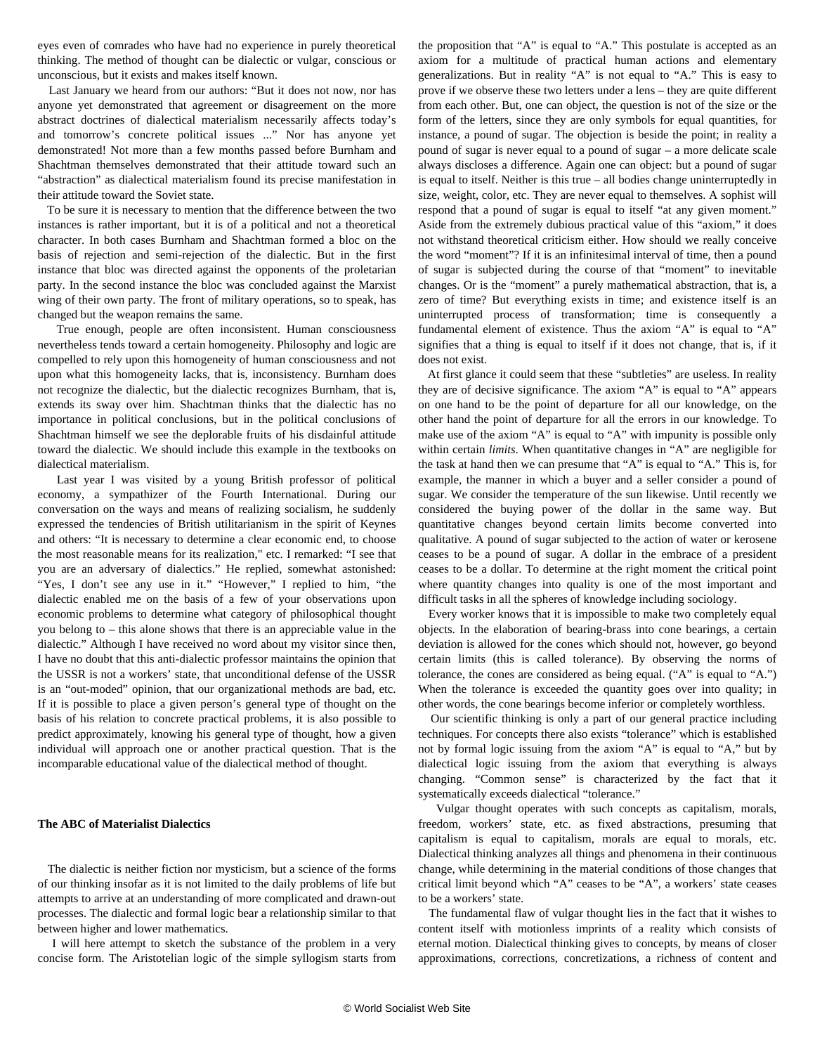eyes even of comrades who have had no experience in purely theoretical thinking. The method of thought can be dialectic or vulgar, conscious or unconscious, but it exists and makes itself known.

 Last January we heard from our authors: "But it does not now, nor has anyone yet demonstrated that agreement or disagreement on the more abstract doctrines of dialectical materialism necessarily affects today's and tomorrow's concrete political issues ..." Nor has anyone yet demonstrated! Not more than a few months passed before Burnham and Shachtman themselves demonstrated that their attitude toward such an "abstraction" as dialectical materialism found its precise manifestation in their attitude toward the Soviet state.

 To be sure it is necessary to mention that the difference between the two instances is rather important, but it is of a political and not a theoretical character. In both cases Burnham and Shachtman formed a bloc on the basis of rejection and semi-rejection of the dialectic. But in the first instance that bloc was directed against the opponents of the proletarian party. In the second instance the bloc was concluded against the Marxist wing of their own party. The front of military operations, so to speak, has changed but the weapon remains the same.

 True enough, people are often inconsistent. Human consciousness nevertheless tends toward a certain homogeneity. Philosophy and logic are compelled to rely upon this homogeneity of human consciousness and not upon what this homogeneity lacks, that is, inconsistency. Burnham does not recognize the dialectic, but the dialectic recognizes Burnham, that is, extends its sway over him. Shachtman thinks that the dialectic has no importance in political conclusions, but in the political conclusions of Shachtman himself we see the deplorable fruits of his disdainful attitude toward the dialectic. We should include this example in the textbooks on dialectical materialism.

 Last year I was visited by a young British professor of political economy, a sympathizer of the Fourth International. During our conversation on the ways and means of realizing socialism, he suddenly expressed the tendencies of British utilitarianism in the spirit of Keynes and others: "It is necessary to determine a clear economic end, to choose the most reasonable means for its realization," etc. I remarked: "I see that you are an adversary of dialectics." He replied, somewhat astonished: "Yes, I don't see any use in it." "However," I replied to him, "the dialectic enabled me on the basis of a few of your observations upon economic problems to determine what category of philosophical thought you belong to – this alone shows that there is an appreciable value in the dialectic." Although I have received no word about my visitor since then, I have no doubt that this anti-dialectic professor maintains the opinion that the USSR is not a workers' state, that unconditional defense of the USSR is an "out-moded" opinion, that our organizational methods are bad, etc. If it is possible to place a given person's general type of thought on the basis of his relation to concrete practical problems, it is also possible to predict approximately, knowing his general type of thought, how a given individual will approach one or another practical question. That is the incomparable educational value of the dialectical method of thought.

# **The ABC of Materialist Dialectics**

 The dialectic is neither fiction nor mysticism, but a science of the forms of our thinking insofar as it is not limited to the daily problems of life but attempts to arrive at an understanding of more complicated and drawn-out processes. The dialectic and formal logic bear a relationship similar to that between higher and lower mathematics.

 I will here attempt to sketch the substance of the problem in a very concise form. The Aristotelian logic of the simple syllogism starts from

the proposition that "A" is equal to "A." This postulate is accepted as an axiom for a multitude of practical human actions and elementary generalizations. But in reality "A" is not equal to "A." This is easy to prove if we observe these two letters under a lens – they are quite different from each other. But, one can object, the question is not of the size or the form of the letters, since they are only symbols for equal quantities, for instance, a pound of sugar. The objection is beside the point; in reality a pound of sugar is never equal to a pound of sugar – a more delicate scale always discloses a difference. Again one can object: but a pound of sugar is equal to itself. Neither is this true – all bodies change uninterruptedly in size, weight, color, etc. They are never equal to themselves. A sophist will respond that a pound of sugar is equal to itself "at any given moment." Aside from the extremely dubious practical value of this "axiom," it does not withstand theoretical criticism either. How should we really conceive the word "moment"? If it is an infinitesimal interval of time, then a pound of sugar is subjected during the course of that "moment" to inevitable changes. Or is the "moment" a purely mathematical abstraction, that is, a zero of time? But everything exists in time; and existence itself is an uninterrupted process of transformation; time is consequently a fundamental element of existence. Thus the axiom "A" is equal to "A" signifies that a thing is equal to itself if it does not change, that is, if it does not exist.

 At first glance it could seem that these "subtleties" are useless. In reality they are of decisive significance. The axiom "A" is equal to "A" appears on one hand to be the point of departure for all our knowledge, on the other hand the point of departure for all the errors in our knowledge. To make use of the axiom "A" is equal to "A" with impunity is possible only within certain *limits*. When quantitative changes in "A" are negligible for the task at hand then we can presume that "A" is equal to "A." This is, for example, the manner in which a buyer and a seller consider a pound of sugar. We consider the temperature of the sun likewise. Until recently we considered the buying power of the dollar in the same way. But quantitative changes beyond certain limits become converted into qualitative. A pound of sugar subjected to the action of water or kerosene ceases to be a pound of sugar. A dollar in the embrace of a president ceases to be a dollar. To determine at the right moment the critical point where quantity changes into quality is one of the most important and difficult tasks in all the spheres of knowledge including sociology.

 Every worker knows that it is impossible to make two completely equal objects. In the elaboration of bearing-brass into cone bearings, a certain deviation is allowed for the cones which should not, however, go beyond certain limits (this is called tolerance). By observing the norms of tolerance, the cones are considered as being equal. ("A" is equal to "A.") When the tolerance is exceeded the quantity goes over into quality; in other words, the cone bearings become inferior or completely worthless.

 Our scientific thinking is only a part of our general practice including techniques. For concepts there also exists "tolerance" which is established not by formal logic issuing from the axiom "A" is equal to "A," but by dialectical logic issuing from the axiom that everything is always changing. "Common sense" is characterized by the fact that it systematically exceeds dialectical "tolerance."

 Vulgar thought operates with such concepts as capitalism, morals, freedom, workers' state, etc. as fixed abstractions, presuming that capitalism is equal to capitalism, morals are equal to morals, etc. Dialectical thinking analyzes all things and phenomena in their continuous change, while determining in the material conditions of those changes that critical limit beyond which "A" ceases to be "A", a workers' state ceases to be a workers' state.

 The fundamental flaw of vulgar thought lies in the fact that it wishes to content itself with motionless imprints of a reality which consists of eternal motion. Dialectical thinking gives to concepts, by means of closer approximations, corrections, concretizations, a richness of content and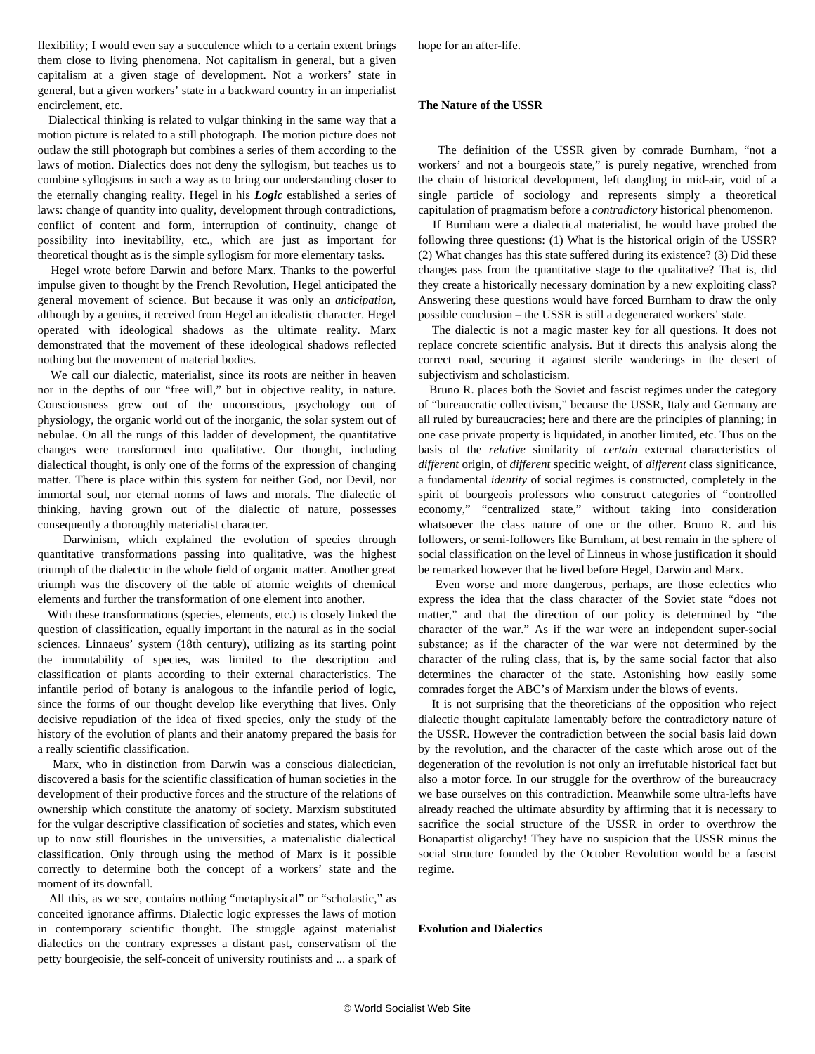flexibility; I would even say a succulence which to a certain extent brings them close to living phenomena. Not capitalism in general, but a given capitalism at a given stage of development. Not a workers' state in general, but a given workers' state in a backward country in an imperialist encirclement, etc.

 Dialectical thinking is related to vulgar thinking in the same way that a motion picture is related to a still photograph. The motion picture does not outlaw the still photograph but combines a series of them according to the laws of motion. Dialectics does not deny the syllogism, but teaches us to combine syllogisms in such a way as to bring our understanding closer to the eternally changing reality. Hegel in his *Logic* established a series of laws: change of quantity into quality, development through contradictions, conflict of content and form, interruption of continuity, change of possibility into inevitability, etc., which are just as important for theoretical thought as is the simple syllogism for more elementary tasks.

 Hegel wrote before Darwin and before Marx. Thanks to the powerful impulse given to thought by the French Revolution, Hegel anticipated the general movement of science. But because it was only an *anticipation*, although by a genius, it received from Hegel an idealistic character. Hegel operated with ideological shadows as the ultimate reality. Marx demonstrated that the movement of these ideological shadows reflected nothing but the movement of material bodies.

 We call our dialectic, materialist, since its roots are neither in heaven nor in the depths of our "free will," but in objective reality, in nature. Consciousness grew out of the unconscious, psychology out of physiology, the organic world out of the inorganic, the solar system out of nebulae. On all the rungs of this ladder of development, the quantitative changes were transformed into qualitative. Our thought, including dialectical thought, is only one of the forms of the expression of changing matter. There is place within this system for neither God, nor Devil, nor immortal soul, nor eternal norms of laws and morals. The dialectic of thinking, having grown out of the dialectic of nature, possesses consequently a thoroughly materialist character.

 Darwinism, which explained the evolution of species through quantitative transformations passing into qualitative, was the highest triumph of the dialectic in the whole field of organic matter. Another great triumph was the discovery of the table of atomic weights of chemical elements and further the transformation of one element into another.

 With these transformations (species, elements, etc.) is closely linked the question of classification, equally important in the natural as in the social sciences. Linnaeus' system (18th century), utilizing as its starting point the immutability of species, was limited to the description and classification of plants according to their external characteristics. The infantile period of botany is analogous to the infantile period of logic, since the forms of our thought develop like everything that lives. Only decisive repudiation of the idea of fixed species, only the study of the history of the evolution of plants and their anatomy prepared the basis for a really scientific classification.

 Marx, who in distinction from Darwin was a conscious dialectician, discovered a basis for the scientific classification of human societies in the development of their productive forces and the structure of the relations of ownership which constitute the anatomy of society. Marxism substituted for the vulgar descriptive classification of societies and states, which even up to now still flourishes in the universities, a materialistic dialectical classification. Only through using the method of Marx is it possible correctly to determine both the concept of a workers' state and the moment of its downfall.

 All this, as we see, contains nothing "metaphysical" or "scholastic," as conceited ignorance affirms. Dialectic logic expresses the laws of motion in contemporary scientific thought. The struggle against materialist dialectics on the contrary expresses a distant past, conservatism of the petty bourgeoisie, the self-conceit of university routinists and ... a spark of

hope for an after-life.

#### **The Nature of the USSR**

 The definition of the USSR given by comrade Burnham, "not a workers' and not a bourgeois state," is purely negative, wrenched from the chain of historical development, left dangling in mid-air, void of a single particle of sociology and represents simply a theoretical capitulation of pragmatism before a *contradictory* historical phenomenon.

 If Burnham were a dialectical materialist, he would have probed the following three questions: (1) What is the historical origin of the USSR? (2) What changes has this state suffered during its existence? (3) Did these changes pass from the quantitative stage to the qualitative? That is, did they create a historically necessary domination by a new exploiting class? Answering these questions would have forced Burnham to draw the only possible conclusion – the USSR is still a degenerated workers' state.

 The dialectic is not a magic master key for all questions. It does not replace concrete scientific analysis. But it directs this analysis along the correct road, securing it against sterile wanderings in the desert of subjectivism and scholasticism.

 Bruno R. places both the Soviet and fascist regimes under the category of "bureaucratic collectivism," because the USSR, Italy and Germany are all ruled by bureaucracies; here and there are the principles of planning; in one case private property is liquidated, in another limited, etc. Thus on the basis of the *relative* similarity of *certain* external characteristics of *different* origin, of *different* specific weight, of *different* class significance, a fundamental *identity* of social regimes is constructed, completely in the spirit of bourgeois professors who construct categories of "controlled economy," "centralized state," without taking into consideration whatsoever the class nature of one or the other. Bruno R. and his followers, or semi-followers like Burnham, at best remain in the sphere of social classification on the level of Linneus in whose justification it should be remarked however that he lived before Hegel, Darwin and Marx.

 Even worse and more dangerous, perhaps, are those eclectics who express the idea that the class character of the Soviet state "does not matter," and that the direction of our policy is determined by "the character of the war." As if the war were an independent super-social substance; as if the character of the war were not determined by the character of the ruling class, that is, by the same social factor that also determines the character of the state. Astonishing how easily some comrades forget the ABC's of Marxism under the blows of events.

 It is not surprising that the theoreticians of the opposition who reject dialectic thought capitulate lamentably before the contradictory nature of the USSR. However the contradiction between the social basis laid down by the revolution, and the character of the caste which arose out of the degeneration of the revolution is not only an irrefutable historical fact but also a motor force. In our struggle for the overthrow of the bureaucracy we base ourselves on this contradiction. Meanwhile some ultra-lefts have already reached the ultimate absurdity by affirming that it is necessary to sacrifice the social structure of the USSR in order to overthrow the Bonapartist oligarchy! They have no suspicion that the USSR minus the social structure founded by the October Revolution would be a fascist regime.

# **Evolution and Dialectics**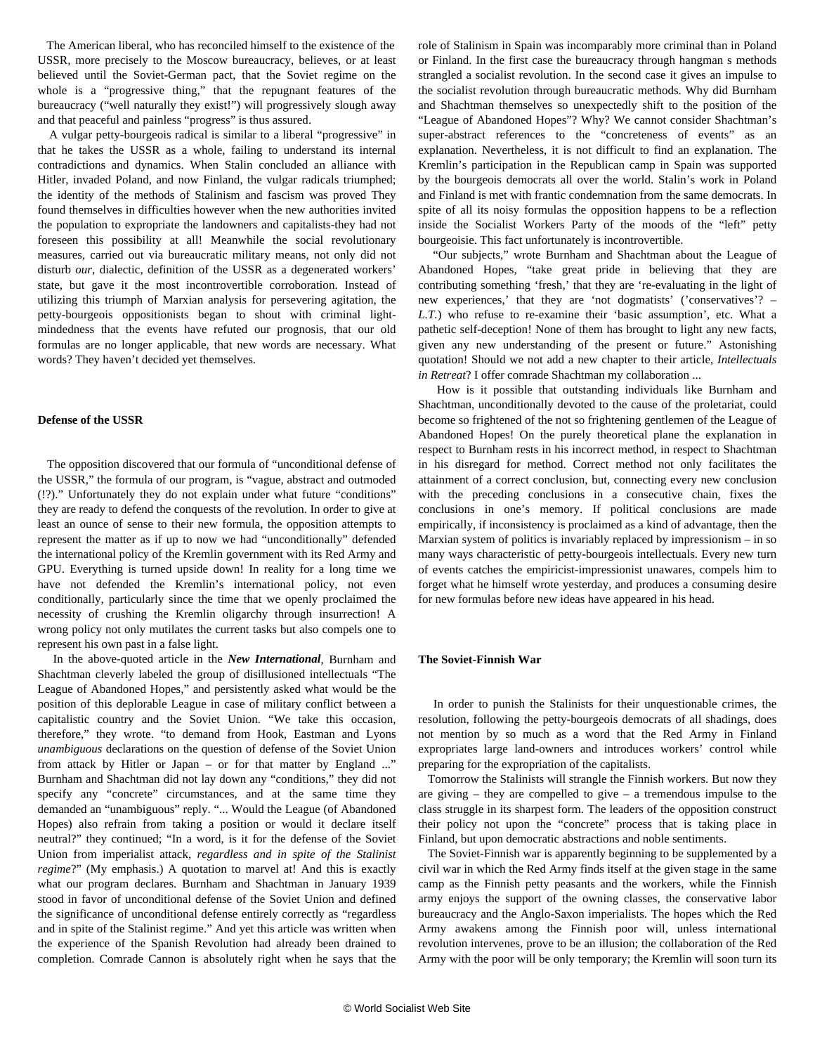The American liberal, who has reconciled himself to the existence of the USSR, more precisely to the Moscow bureaucracy, believes, or at least believed until the Soviet-German pact, that the Soviet regime on the whole is a "progressive thing," that the repugnant features of the bureaucracy ("well naturally they exist!") will progressively slough away and that peaceful and painless "progress" is thus assured.

 A vulgar petty-bourgeois radical is similar to a liberal "progressive" in that he takes the USSR as a whole, failing to understand its internal contradictions and dynamics. When Stalin concluded an alliance with Hitler, invaded Poland, and now Finland, the vulgar radicals triumphed; the identity of the methods of Stalinism and fascism was proved They found themselves in difficulties however when the new authorities invited the population to expropriate the landowners and capitalists-they had not foreseen this possibility at all! Meanwhile the social revolutionary measures, carried out via bureaucratic military means, not only did not disturb *our*, dialectic, definition of the USSR as a degenerated workers' state, but gave it the most incontrovertible corroboration. Instead of utilizing this triumph of Marxian analysis for persevering agitation, the petty-bourgeois oppositionists began to shout with criminal lightmindedness that the events have refuted our prognosis, that our old formulas are no longer applicable, that new words are necessary. What words? They haven't decided yet themselves.

## **Defense of the USSR**

 The opposition discovered that our formula of "unconditional defense of the USSR," the formula of our program, is "vague, abstract and outmoded (!?)." Unfortunately they do not explain under what future "conditions" they are ready to defend the conquests of the revolution. In order to give at least an ounce of sense to their new formula, the opposition attempts to represent the matter as if up to now we had "unconditionally" defended the international policy of the Kremlin government with its Red Army and GPU. Everything is turned upside down! In reality for a long time we have not defended the Kremlin's international policy, not even conditionally, particularly since the time that we openly proclaimed the necessity of crushing the Kremlin oligarchy through insurrection! A wrong policy not only mutilates the current tasks but also compels one to represent his own past in a false light.

 In the above-quoted article in the *New International*, Burnham and Shachtman cleverly labeled the group of disillusioned intellectuals "The League of Abandoned Hopes," and persistently asked what would be the position of this deplorable League in case of military conflict between a capitalistic country and the Soviet Union. "We take this occasion, therefore," they wrote. "to demand from Hook, Eastman and Lyons *unambiguous* declarations on the question of defense of the Soviet Union from attack by Hitler or Japan – or for that matter by England ..." Burnham and Shachtman did not lay down any "conditions," they did not specify any "concrete" circumstances, and at the same time they demanded an "unambiguous" reply. "... Would the League (of Abandoned Hopes) also refrain from taking a position or would it declare itself neutral?" they continued; "In a word, is it for the defense of the Soviet Union from imperialist attack, *regardless and in spite of the Stalinist regime*?" (My emphasis.) A quotation to marvel at! And this is exactly what our program declares. Burnham and Shachtman in January 1939 stood in favor of unconditional defense of the Soviet Union and defined the significance of unconditional defense entirely correctly as "regardless and in spite of the Stalinist regime." And yet this article was written when the experience of the Spanish Revolution had already been drained to completion. Comrade Cannon is absolutely right when he says that the role of Stalinism in Spain was incomparably more criminal than in Poland or Finland. In the first case the bureaucracy through hangman s methods strangled a socialist revolution. In the second case it gives an impulse to the socialist revolution through bureaucratic methods. Why did Burnham and Shachtman themselves so unexpectedly shift to the position of the "League of Abandoned Hopes"? Why? We cannot consider Shachtman's super-abstract references to the "concreteness of events" as an explanation. Nevertheless, it is not difficult to find an explanation. The Kremlin's participation in the Republican camp in Spain was supported by the bourgeois democrats all over the world. Stalin's work in Poland and Finland is met with frantic condemnation from the same democrats. In spite of all its noisy formulas the opposition happens to be a reflection inside the Socialist Workers Party of the moods of the "left" petty bourgeoisie. This fact unfortunately is incontrovertible.

 "Our subjects," wrote Burnham and Shachtman about the League of Abandoned Hopes, "take great pride in believing that they are contributing something 'fresh,' that they are 're-evaluating in the light of new experiences,' that they are 'not dogmatists' ('conservatives'? – *L.T.*) who refuse to re-examine their 'basic assumption', etc. What a pathetic self-deception! None of them has brought to light any new facts, given any new understanding of the present or future." Astonishing quotation! Should we not add a new chapter to their article, *Intellectuals in Retreat*? I offer comrade Shachtman my collaboration ...

 How is it possible that outstanding individuals like Burnham and Shachtman, unconditionally devoted to the cause of the proletariat, could become so frightened of the not so frightening gentlemen of the League of Abandoned Hopes! On the purely theoretical plane the explanation in respect to Burnham rests in his incorrect method, in respect to Shachtman in his disregard for method. Correct method not only facilitates the attainment of a correct conclusion, but, connecting every new conclusion with the preceding conclusions in a consecutive chain, fixes the conclusions in one's memory. If political conclusions are made empirically, if inconsistency is proclaimed as a kind of advantage, then the Marxian system of politics is invariably replaced by impressionism – in so many ways characteristic of petty-bourgeois intellectuals. Every new turn of events catches the empiricist-impressionist unawares, compels him to forget what he himself wrote yesterday, and produces a consuming desire for new formulas before new ideas have appeared in his head.

#### **The Soviet-Finnish War**

 In order to punish the Stalinists for their unquestionable crimes, the resolution, following the petty-bourgeois democrats of all shadings, does not mention by so much as a word that the Red Army in Finland expropriates large land-owners and introduces workers' control while preparing for the expropriation of the capitalists.

 Tomorrow the Stalinists will strangle the Finnish workers. But now they are giving – they are compelled to give – a tremendous impulse to the class struggle in its sharpest form. The leaders of the opposition construct their policy not upon the "concrete" process that is taking place in Finland, but upon democratic abstractions and noble sentiments.

 The Soviet-Finnish war is apparently beginning to be supplemented by a civil war in which the Red Army finds itself at the given stage in the same camp as the Finnish petty peasants and the workers, while the Finnish army enjoys the support of the owning classes, the conservative labor bureaucracy and the Anglo-Saxon imperialists. The hopes which the Red Army awakens among the Finnish poor will, unless international revolution intervenes, prove to be an illusion; the collaboration of the Red Army with the poor will be only temporary; the Kremlin will soon turn its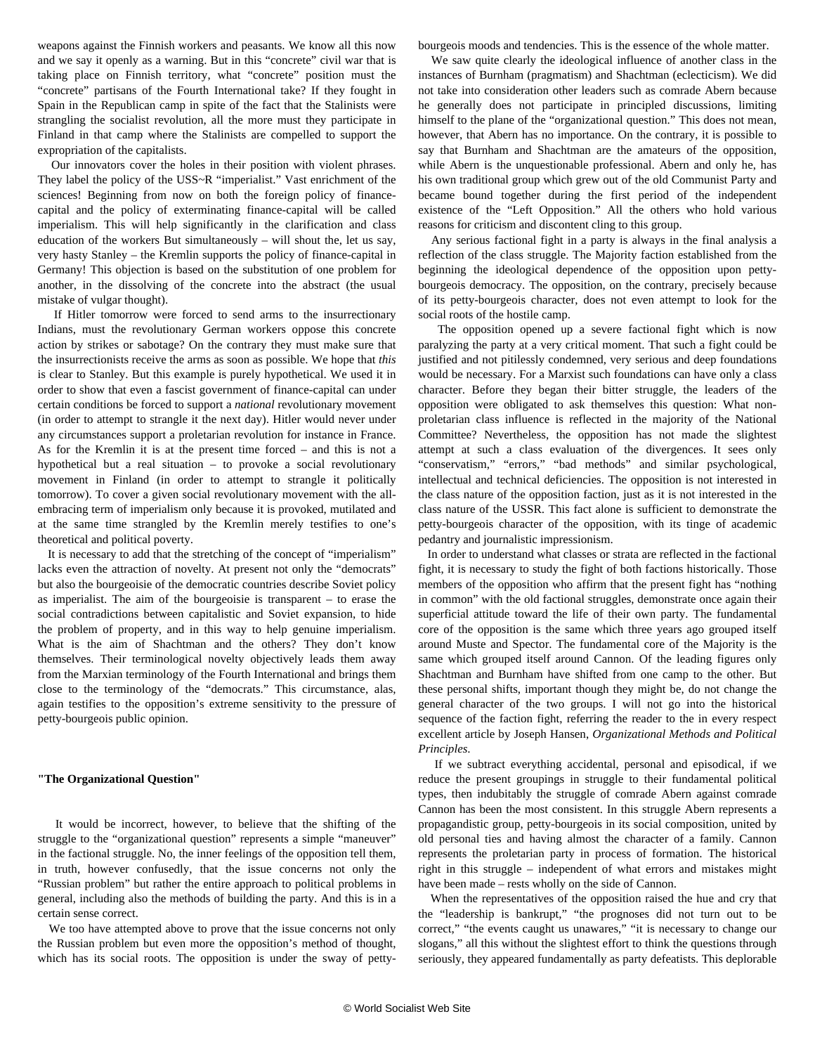weapons against the Finnish workers and peasants. We know all this now and we say it openly as a warning. But in this "concrete" civil war that is taking place on Finnish territory, what "concrete" position must the "concrete" partisans of the Fourth International take? If they fought in Spain in the Republican camp in spite of the fact that the Stalinists were strangling the socialist revolution, all the more must they participate in Finland in that camp where the Stalinists are compelled to support the expropriation of the capitalists.

 Our innovators cover the holes in their position with violent phrases. They label the policy of the USS~R "imperialist." Vast enrichment of the sciences! Beginning from now on both the foreign policy of financecapital and the policy of exterminating finance-capital will be called imperialism. This will help significantly in the clarification and class education of the workers But simultaneously – will shout the, let us say, very hasty Stanley – the Kremlin supports the policy of finance-capital in Germany! This objection is based on the substitution of one problem for another, in the dissolving of the concrete into the abstract (the usual mistake of vulgar thought).

 If Hitler tomorrow were forced to send arms to the insurrectionary Indians, must the revolutionary German workers oppose this concrete action by strikes or sabotage? On the contrary they must make sure that the insurrectionists receive the arms as soon as possible. We hope that *this* is clear to Stanley. But this example is purely hypothetical. We used it in order to show that even a fascist government of finance-capital can under certain conditions be forced to support a *national* revolutionary movement (in order to attempt to strangle it the next day). Hitler would never under any circumstances support a proletarian revolution for instance in France. As for the Kremlin it is at the present time forced – and this is not a hypothetical but a real situation – to provoke a social revolutionary movement in Finland (in order to attempt to strangle it politically tomorrow). To cover a given social revolutionary movement with the allembracing term of imperialism only because it is provoked, mutilated and at the same time strangled by the Kremlin merely testifies to one's theoretical and political poverty.

 It is necessary to add that the stretching of the concept of "imperialism" lacks even the attraction of novelty. At present not only the "democrats" but also the bourgeoisie of the democratic countries describe Soviet policy as imperialist. The aim of the bourgeoisie is transparent – to erase the social contradictions between capitalistic and Soviet expansion, to hide the problem of property, and in this way to help genuine imperialism. What is the aim of Shachtman and the others? They don't know themselves. Their terminological novelty objectively leads them away from the Marxian terminology of the Fourth International and brings them close to the terminology of the "democrats." This circumstance, alas, again testifies to the opposition's extreme sensitivity to the pressure of petty-bourgeois public opinion.

#### **"The Organizational Question"**

 It would be incorrect, however, to believe that the shifting of the struggle to the "organizational question" represents a simple "maneuver" in the factional struggle. No, the inner feelings of the opposition tell them, in truth, however confusedly, that the issue concerns not only the "Russian problem" but rather the entire approach to political problems in general, including also the methods of building the party. And this is in a certain sense correct.

 We too have attempted above to prove that the issue concerns not only the Russian problem but even more the opposition's method of thought, which has its social roots. The opposition is under the sway of pettybourgeois moods and tendencies. This is the essence of the whole matter.

 We saw quite clearly the ideological influence of another class in the instances of Burnham (pragmatism) and Shachtman (eclecticism). We did not take into consideration other leaders such as comrade Abern because he generally does not participate in principled discussions, limiting himself to the plane of the "organizational question." This does not mean, however, that Abern has no importance. On the contrary, it is possible to say that Burnham and Shachtman are the amateurs of the opposition, while Abern is the unquestionable professional. Abern and only he, has his own traditional group which grew out of the old Communist Party and became bound together during the first period of the independent existence of the "Left Opposition." All the others who hold various reasons for criticism and discontent cling to this group.

 Any serious factional fight in a party is always in the final analysis a reflection of the class struggle. The Majority faction established from the beginning the ideological dependence of the opposition upon pettybourgeois democracy. The opposition, on the contrary, precisely because of its petty-bourgeois character, does not even attempt to look for the social roots of the hostile camp.

 The opposition opened up a severe factional fight which is now paralyzing the party at a very critical moment. That such a fight could be justified and not pitilessly condemned, very serious and deep foundations would be necessary. For a Marxist such foundations can have only a class character. Before they began their bitter struggle, the leaders of the opposition were obligated to ask themselves this question: What nonproletarian class influence is reflected in the majority of the National Committee? Nevertheless, the opposition has not made the slightest attempt at such a class evaluation of the divergences. It sees only "conservatism," "errors," "bad methods" and similar psychological, intellectual and technical deficiencies. The opposition is not interested in the class nature of the opposition faction, just as it is not interested in the class nature of the USSR. This fact alone is sufficient to demonstrate the petty-bourgeois character of the opposition, with its tinge of academic pedantry and journalistic impressionism.

 In order to understand what classes or strata are reflected in the factional fight, it is necessary to study the fight of both factions historically. Those members of the opposition who affirm that the present fight has "nothing in common" with the old factional struggles, demonstrate once again their superficial attitude toward the life of their own party. The fundamental core of the opposition is the same which three years ago grouped itself around Muste and Spector. The fundamental core of the Majority is the same which grouped itself around Cannon. Of the leading figures only Shachtman and Burnham have shifted from one camp to the other. But these personal shifts, important though they might be, do not change the general character of the two groups. I will not go into the historical sequence of the faction fight, referring the reader to the in every respect excellent article by Joseph Hansen, *Organizational Methods and Political Principles*.

 If we subtract everything accidental, personal and episodical, if we reduce the present groupings in struggle to their fundamental political types, then indubitably the struggle of comrade Abern against comrade Cannon has been the most consistent. In this struggle Abern represents a propagandistic group, petty-bourgeois in its social composition, united by old personal ties and having almost the character of a family. Cannon represents the proletarian party in process of formation. The historical right in this struggle – independent of what errors and mistakes might have been made – rests wholly on the side of Cannon.

 When the representatives of the opposition raised the hue and cry that the "leadership is bankrupt," "the prognoses did not turn out to be correct," "the events caught us unawares," "it is necessary to change our slogans," all this without the slightest effort to think the questions through seriously, they appeared fundamentally as party defeatists. This deplorable